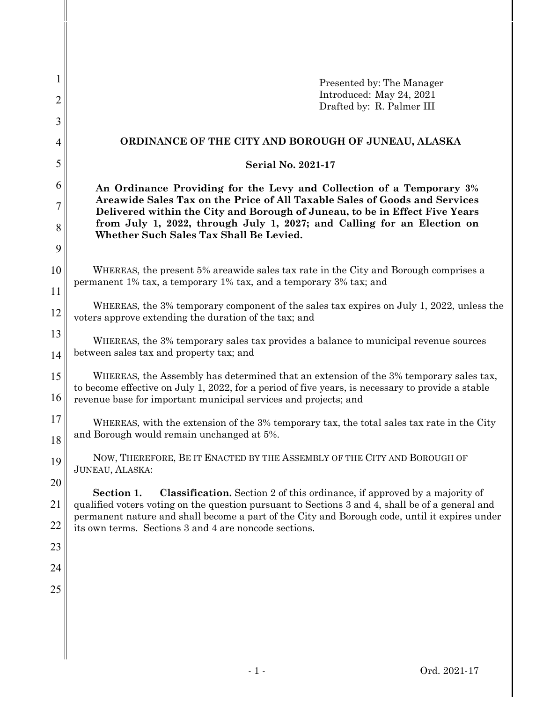| Presented by: The Manager                                                                                                                                                                                                                                                 |  |  |  |  |
|---------------------------------------------------------------------------------------------------------------------------------------------------------------------------------------------------------------------------------------------------------------------------|--|--|--|--|
| Introduced: May 24, 2021<br>Drafted by: R. Palmer III                                                                                                                                                                                                                     |  |  |  |  |
|                                                                                                                                                                                                                                                                           |  |  |  |  |
| ORDINANCE OF THE CITY AND BOROUGH OF JUNEAU, ALASKA                                                                                                                                                                                                                       |  |  |  |  |
| <b>Serial No. 2021-17</b>                                                                                                                                                                                                                                                 |  |  |  |  |
| 6<br>An Ordinance Providing for the Levy and Collection of a Temporary 3%                                                                                                                                                                                                 |  |  |  |  |
| Areawide Sales Tax on the Price of All Taxable Sales of Goods and Services<br>7<br>Delivered within the City and Borough of Juneau, to be in Effect Five Years                                                                                                            |  |  |  |  |
| from July 1, 2022, through July 1, 2027; and Calling for an Election on<br>Whether Such Sales Tax Shall Be Levied.                                                                                                                                                        |  |  |  |  |
|                                                                                                                                                                                                                                                                           |  |  |  |  |
| 10<br>WHEREAS, the present 5% areawide sales tax rate in the City and Borough comprises a<br>permanent 1% tax, a temporary 1% tax, and a temporary 3% tax; and                                                                                                            |  |  |  |  |
|                                                                                                                                                                                                                                                                           |  |  |  |  |
| WHEREAS, the 3% temporary component of the sales tax expires on July 1, 2022, unless the<br>voters approve extending the duration of the tax; and                                                                                                                         |  |  |  |  |
| WHEREAS, the 3% temporary sales tax provides a balance to municipal revenue sources                                                                                                                                                                                       |  |  |  |  |
| between sales tax and property tax; and                                                                                                                                                                                                                                   |  |  |  |  |
| WHEREAS, the Assembly has determined that an extension of the 3% temporary sales tax,<br>15<br>to become effective on July 1, 2022, for a period of five years, is necessary to provide a stable<br>16<br>revenue base for important municipal services and projects; and |  |  |  |  |
| WHEREAS, with the extension of the 3% temporary tax, the total sales tax rate in the City                                                                                                                                                                                 |  |  |  |  |
| and Borough would remain unchanged at 5%.                                                                                                                                                                                                                                 |  |  |  |  |
| NOW, THEREFORE, BE IT ENACTED BY THE ASSEMBLY OF THE CITY AND BOROUGH OF<br>JUNEAU, ALASKA:                                                                                                                                                                               |  |  |  |  |
| Section 1.<br><b>Classification.</b> Section 2 of this ordinance, if approved by a majority of                                                                                                                                                                            |  |  |  |  |
| qualified voters voting on the question pursuant to Sections 3 and 4, shall be of a general and                                                                                                                                                                           |  |  |  |  |
| permanent nature and shall become a part of the City and Borough code, until it expires under<br>its own terms. Sections 3 and 4 are noncode sections.                                                                                                                    |  |  |  |  |
|                                                                                                                                                                                                                                                                           |  |  |  |  |
|                                                                                                                                                                                                                                                                           |  |  |  |  |
|                                                                                                                                                                                                                                                                           |  |  |  |  |
|                                                                                                                                                                                                                                                                           |  |  |  |  |
|                                                                                                                                                                                                                                                                           |  |  |  |  |
|                                                                                                                                                                                                                                                                           |  |  |  |  |
|                                                                                                                                                                                                                                                                           |  |  |  |  |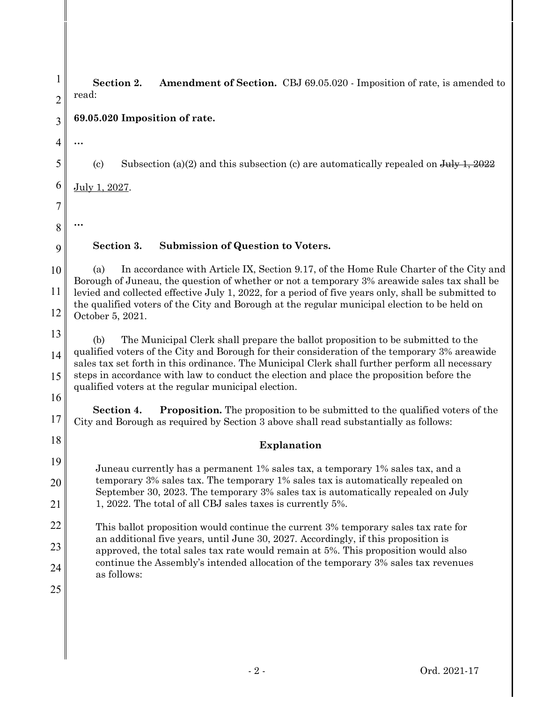1 2 3 4 5 6 7 8 9 10 11 12 13 14 15 16 17 18 19 20 21 22 23 24 25 **Section 2. Amendment of Section.** CBJ 69.05.020 - Imposition of rate, is amended to read: **69.05.020 Imposition of rate. …** (c) Subsection (a)(2) and this subsection (c) are automatically repealed on  $J_{\text{uly}}$  1, 2022 July 1, 2027. **… Section 3. Submission of Question to Voters.** (a) In accordance with Article IX, Section 9.17, of the Home Rule Charter of the City and Borough of Juneau, the question of whether or not a temporary 3% areawide sales tax shall be levied and collected effective July 1, 2022, for a period of five years only, shall be submitted to the qualified voters of the City and Borough at the regular municipal election to be held on October 5, 2021. (b) The Municipal Clerk shall prepare the ballot proposition to be submitted to the qualified voters of the City and Borough for their consideration of the temporary 3% areawide sales tax set forth in this ordinance. The Municipal Clerk shall further perform all necessary steps in accordance with law to conduct the election and place the proposition before the qualified voters at the regular municipal election. **Section 4. Proposition.** The proposition to be submitted to the qualified voters of the City and Borough as required by Section 3 above shall read substantially as follows: **Explanation** Juneau currently has a permanent 1% sales tax, a temporary 1% sales tax, and a temporary 3% sales tax. The temporary 1% sales tax is automatically repealed on September 30, 2023. The temporary 3% sales tax is automatically repealed on July 1, 2022. The total of all CBJ sales taxes is currently 5%. This ballot proposition would continue the current 3% temporary sales tax rate for an additional five years, until June 30, 2027. Accordingly, if this proposition is approved, the total sales tax rate would remain at 5%. This proposition would also continue the Assembly's intended allocation of the temporary 3% sales tax revenues as follows: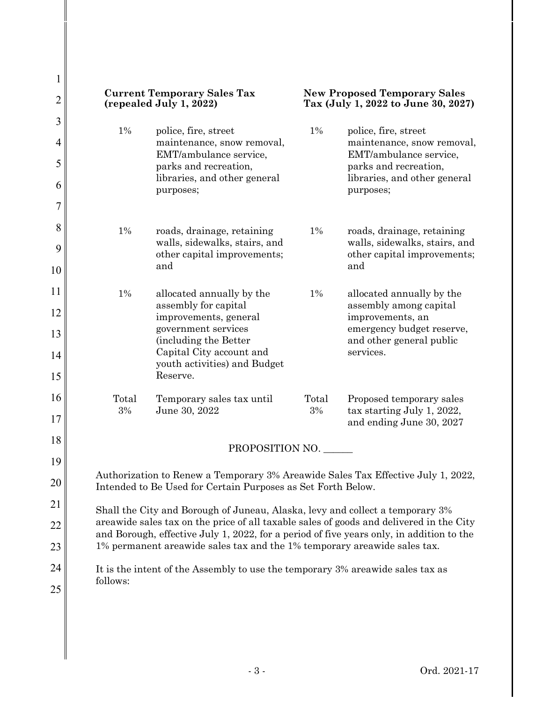| 1              |                                                                                                                                                                                                                                                                                                                                                  |                                                             |       |                                                                            |  |
|----------------|--------------------------------------------------------------------------------------------------------------------------------------------------------------------------------------------------------------------------------------------------------------------------------------------------------------------------------------------------|-------------------------------------------------------------|-------|----------------------------------------------------------------------------|--|
| $\overline{2}$ | <b>Current Temporary Sales Tax</b><br>(repealed July 1, 2022)                                                                                                                                                                                                                                                                                    |                                                             |       | <b>New Proposed Temporary Sales</b><br>Tax (July 1, 2022 to June 30, 2027) |  |
| 3              | 1%                                                                                                                                                                                                                                                                                                                                               | police, fire, street                                        | $1\%$ | police, fire, street                                                       |  |
| 4              |                                                                                                                                                                                                                                                                                                                                                  | maintenance, snow removal,<br>EMT/ambulance service,        |       | maintenance, snow removal,<br>EMT/ambulance service,                       |  |
| 5              |                                                                                                                                                                                                                                                                                                                                                  | parks and recreation,<br>libraries, and other general       |       | parks and recreation,<br>libraries, and other general                      |  |
| 6              |                                                                                                                                                                                                                                                                                                                                                  | purposes;                                                   |       | purposes;                                                                  |  |
| 7              |                                                                                                                                                                                                                                                                                                                                                  |                                                             |       |                                                                            |  |
| 8              | $1\%$                                                                                                                                                                                                                                                                                                                                            | roads, drainage, retaining<br>walls, sidewalks, stairs, and | 1%    | roads, drainage, retaining<br>walls, sidewalks, stairs, and                |  |
| 9              |                                                                                                                                                                                                                                                                                                                                                  | other capital improvements;<br>and                          |       | other capital improvements;<br>and                                         |  |
| 10             |                                                                                                                                                                                                                                                                                                                                                  |                                                             |       |                                                                            |  |
| 11             | $1\%$                                                                                                                                                                                                                                                                                                                                            | allocated annually by the<br>assembly for capital           | $1\%$ | allocated annually by the<br>assembly among capital                        |  |
| 12             |                                                                                                                                                                                                                                                                                                                                                  | improvements, general                                       |       | improvements, an                                                           |  |
| 13             |                                                                                                                                                                                                                                                                                                                                                  | government services<br>(including the Better                |       | emergency budget reserve,<br>and other general public                      |  |
| 14             |                                                                                                                                                                                                                                                                                                                                                  | Capital City account and<br>youth activities) and Budget    |       | services.                                                                  |  |
| 15             |                                                                                                                                                                                                                                                                                                                                                  | Reserve.                                                    |       |                                                                            |  |
| 16             | Total                                                                                                                                                                                                                                                                                                                                            | Temporary sales tax until                                   | Total | Proposed temporary sales                                                   |  |
| 17             | 3%                                                                                                                                                                                                                                                                                                                                               | June 30, 2022                                               | 3%    | tax starting July 1, 2022,<br>and ending June 30, 2027                     |  |
| 18             | PROPOSITION NO.                                                                                                                                                                                                                                                                                                                                  |                                                             |       |                                                                            |  |
| 19             |                                                                                                                                                                                                                                                                                                                                                  |                                                             |       |                                                                            |  |
| 20             | Authorization to Renew a Temporary 3% Areawide Sales Tax Effective July 1, 2022,<br>Intended to Be Used for Certain Purposes as Set Forth Below.                                                                                                                                                                                                 |                                                             |       |                                                                            |  |
| 21             | Shall the City and Borough of Juneau, Alaska, levy and collect a temporary 3%<br>areawide sales tax on the price of all taxable sales of goods and delivered in the City<br>and Borough, effective July 1, 2022, for a period of five years only, in addition to the<br>1% permanent areawide sales tax and the 1% temporary areawide sales tax. |                                                             |       |                                                                            |  |
| 22             |                                                                                                                                                                                                                                                                                                                                                  |                                                             |       |                                                                            |  |
| 23             |                                                                                                                                                                                                                                                                                                                                                  |                                                             |       |                                                                            |  |
| 24             | It is the intent of the Assembly to use the temporary 3% areawide sales tax as                                                                                                                                                                                                                                                                   |                                                             |       |                                                                            |  |
| 25             | follows:                                                                                                                                                                                                                                                                                                                                         |                                                             |       |                                                                            |  |
|                |                                                                                                                                                                                                                                                                                                                                                  |                                                             |       |                                                                            |  |